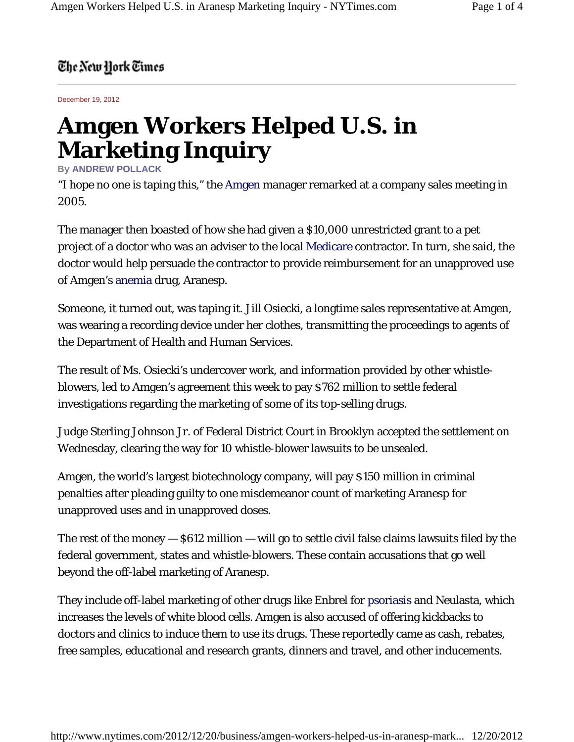## The New York Times

December 19, 2012

## **Amgen Workers Helped U.S. in Marketing Inquiry**

## **By ANDREW POLLACK**

"I hope no one is taping this," the Amgen manager remarked at a company sales meeting in 2005.

The manager then boasted of how she had given a \$10,000 unrestricted grant to a pet project of a doctor who was an adviser to the local Medicare contractor. In turn, she said, the doctor would help persuade the contractor to provide reimbursement for an unapproved use of Amgen's anemia drug, Aranesp.

Someone, it turned out, was taping it. Jill Osiecki, a longtime sales representative at Amgen, was wearing a recording device under her clothes, transmitting the proceedings to agents of the Department of Health and Human Services.

The result of Ms. Osiecki's undercover work, and information provided by other whistleblowers, led to Amgen's agreement this week to pay \$762 million to settle federal investigations regarding the marketing of some of its top-selling drugs.

Judge Sterling Johnson Jr. of Federal District Court in Brooklyn accepted the settlement on Wednesday, clearing the way for 10 whistle-blower lawsuits to be unsealed.

Amgen, the world's largest biotechnology company, will pay \$150 million in criminal penalties after pleading guilty to one misdemeanor count of marketing Aranesp for unapproved uses and in unapproved doses.

The rest of the money — \$612 million — will go to settle civil false claims lawsuits filed by the federal government, states and whistle-blowers. These contain accusations that go well beyond the off-label marketing of Aranesp.

They include off-label marketing of other drugs like Enbrel for psoriasis and Neulasta, which increases the levels of white blood cells. Amgen is also accused of offering kickbacks to doctors and clinics to induce them to use its drugs. These reportedly came as cash, rebates, free samples, educational and research grants, dinners and travel, and other inducements.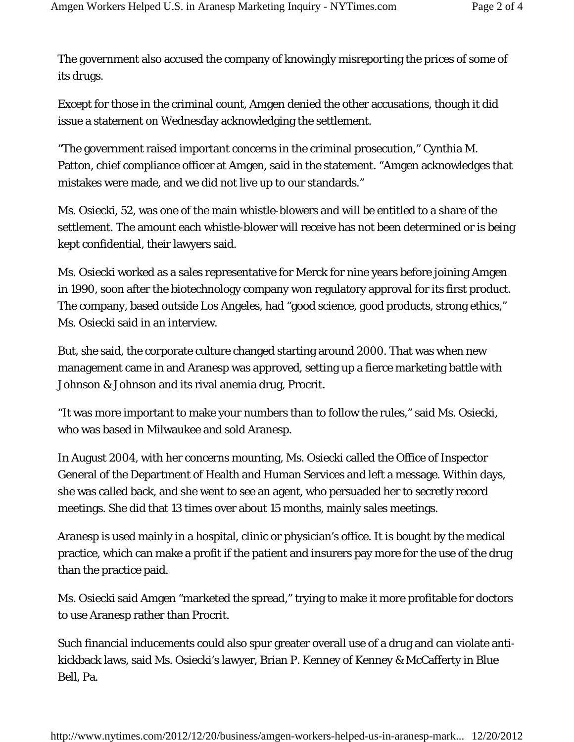The government also accused the company of knowingly misreporting the prices of some of its drugs.

Except for those in the criminal count, Amgen denied the other accusations, though it did issue a statement on Wednesday acknowledging the settlement.

"The government raised important concerns in the criminal prosecution," Cynthia M. Patton, chief compliance officer at Amgen, said in the statement. "Amgen acknowledges that mistakes were made, and we did not live up to our standards."

Ms. Osiecki, 52, was one of the main whistle-blowers and will be entitled to a share of the settlement. The amount each whistle-blower will receive has not been determined or is being kept confidential, their lawyers said.

Ms. Osiecki worked as a sales representative for Merck for nine years before joining Amgen in 1990, soon after the biotechnology company won regulatory approval for its first product. The company, based outside Los Angeles, had "good science, good products, strong ethics," Ms. Osiecki said in an interview.

But, she said, the corporate culture changed starting around 2000. That was when new management came in and Aranesp was approved, setting up a fierce marketing battle with Johnson & Johnson and its rival anemia drug, Procrit.

"It was more important to make your numbers than to follow the rules," said Ms. Osiecki, who was based in Milwaukee and sold Aranesp.

In August 2004, with her concerns mounting, Ms. Osiecki called the Office of Inspector General of the Department of Health and Human Services and left a message. Within days, she was called back, and she went to see an agent, who persuaded her to secretly record meetings. She did that 13 times over about 15 months, mainly sales meetings.

Aranesp is used mainly in a hospital, clinic or physician's office. It is bought by the medical practice, which can make a profit if the patient and insurers pay more for the use of the drug than the practice paid.

Ms. Osiecki said Amgen "marketed the spread," trying to make it more profitable for doctors to use Aranesp rather than Procrit.

Such financial inducements could also spur greater overall use of a drug and can violate antikickback laws, said Ms. Osiecki's lawyer, Brian P. Kenney of Kenney & McCafferty in Blue Bell, Pa.